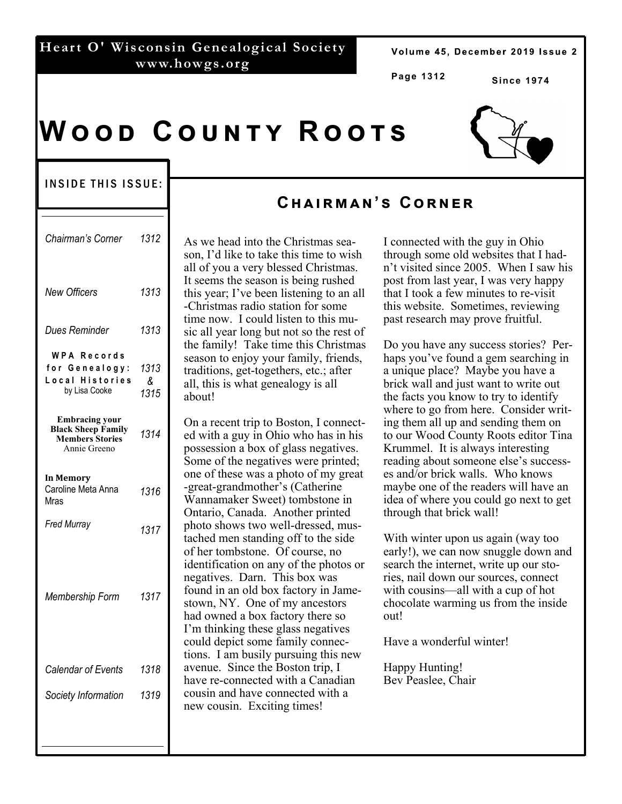### **Heart O' Wisconsin Genealogical Society www.howgs.org**

Volume 45, December 2019 Issue 2

**Page 1312** 

**Since 1974** 

# **WOOD COUNTY ROOTS**



#### INSIDE THIS ISSUE:

| Chairman's Corner                                                                                 | 1312              |
|---------------------------------------------------------------------------------------------------|-------------------|
| <b>New Officers</b>                                                                               | 1313              |
| Dues Reminder                                                                                     | 1313              |
| <b>WPA Records</b><br>for Genealogy:<br>Local Histories<br>by Lisa Cooke<br><b>Embracing your</b> | 1313<br>&<br>1315 |
| <b>Black Sheep Family</b><br><b>Members Stories</b><br>Annie Greeno                               | 1314              |
| <b>In Memory</b><br>Caroline Meta Anna<br>Mras                                                    | 1316              |
| <b>Fred Murray</b>                                                                                | 1317              |
| Membership Form                                                                                   | 1317              |
| Calendar of Events                                                                                | 1318              |
| Society Information                                                                               | 1319              |

## **Cඐඉඑකඕඉඖ'ඛ Cකඖඍක**

As we head into the Christmas season, I'd like to take this time to wish all of you a very blessed Christmas. It seems the season is being rushed this year; I've been listening to an all -Christmas radio station for some time now. I could listen to this music all year long but not so the rest of the family! Take time this Christmas season to enjoy your family, friends, traditions, get-togethers, etc.; after all, this is what genealogy is all about!

On a recent trip to Boston, I connected with a guy in Ohio who has in his possession a box of glass negatives. Some of the negatives were printed; one of these was a photo of my great -great-grandmother's (Catherine Wannamaker Sweet) tombstone in Ontario, Canada. Another printed photo shows two well-dressed, mustached men standing off to the side of her tombstone. Of course, no identification on any of the photos or negatives. Darn. This box was found in an old box factory in Jamestown, NY. One of my ancestors had owned a box factory there so I'm thinking these glass negatives could depict some family connections. I am busily pursuing this new avenue. Since the Boston trip, I have re-connected with a Canadian cousin and have connected with a new cousin. Exciting times!

I connected with the guy in Ohio through some old websites that I hadn't visited since 2005. When I saw his post from last year, I was very happy that I took a few minutes to re-visit this website. Sometimes, reviewing past research may prove fruitful.

Do you have any success stories? Perhaps you've found a gem searching in a unique place? Maybe you have a brick wall and just want to write out the facts you know to try to identify where to go from here. Consider writing them all up and sending them on to our Wood County Roots editor Tina Krummel. It is always interesting reading about someone else's successes and/or brick walls. Who knows maybe one of the readers will have an idea of where you could go next to get through that brick wall!

With winter upon us again (way too early!), we can now snuggle down and search the internet, write up our stories, nail down our sources, connect with cousins—all with a cup of hot chocolate warming us from the inside out!

Have a wonderful winter!

Happy Hunting! Bev Peaslee, Chair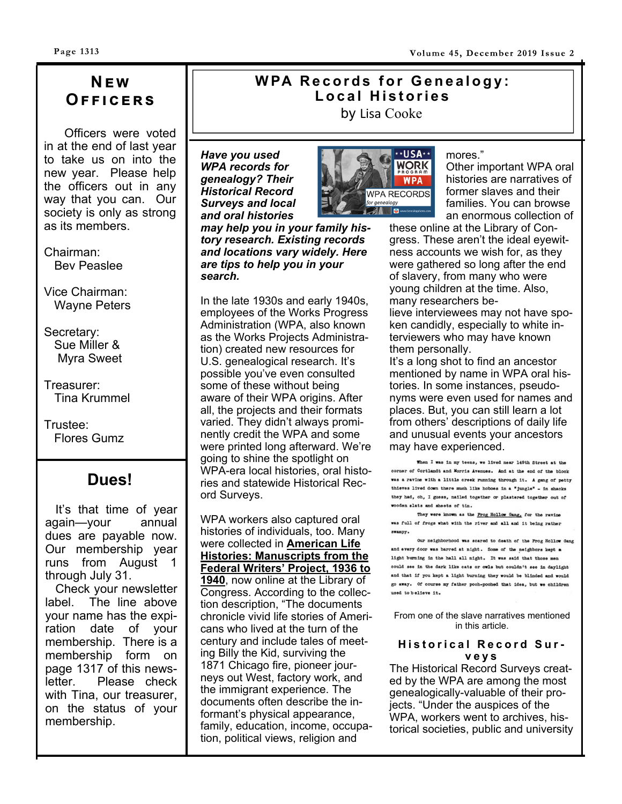# **Nඍ ඟ Oඎඎඑඋඍකඛ**

 Officers were voted in at the end of last year to take us on into the new year. Please help the officers out in any way that you can. Our society is only as strong as its members.

Chairman: Bev Peaslee

Vice Chairman: Wayne Peters

Secretary: Sue Miller & Myra Sweet

Treasurer: Tina Krummel

Trustee: Flores Gumz

### **Dues!**

 It's that time of year again—your annual dues are payable now. Our membership year runs from August 1 through July 31.

 Check your newsletter label. The line above your name has the expiration date of your membership. There is a membership form on page 1317 of this newsletter. Please check with Tina, our treasurer, on the status of your membership.

### **WPA Records for Genealogy: Local Histories**  by Lisa Cooke

*Have you used WPA records for genealogy? Their Historical Record Surveys and local and oral histories* 

*search.* 



mores."

Other important WPA oral histories are narratives of former slaves and their families. You can browse an enormous collection of

these online at the Library of Congress. These aren't the ideal eyewitness accounts we wish for, as they were gathered so long after the end of slavery, from many who were young children at the time. Also, many researchers believe interviewees may not have spoken candidly, especially to white interviewers who may have known them personally.

It's a long shot to find an ancestor mentioned by name in WPA oral histories. In some instances, pseudonyms were even used for names and places. But, you can still learn a lot from others' descriptions of daily life and unusual events your ancestors may have experienced.

When I was in my teens, we lived near 149th Street at the of Cortlandt and Morris Avenues. And at the end of the block was a ravine with a little creek running through it. A gang of petty thieves lived down there much like hoboes in a "jungle" - in shacks they had, oh, I guess, nailed together or plastered together out of wooden slats and sheets of tin.

They were known as the Frog Hollow Gang, for the ravine was full of frogs what with the river and all and it being rather swampy.

Our neighborhood was scared to death of the Frog Hollow Gang and every door was barred at night. Some of the neighbors kept a light burning in the hall all night. It was said that those men could see in the dark like cats or owls but couldn't see in daylight and that if you kept a light burning they would be blinded and would go away. Of course my father pooh-poohed that idea, but we children used to believe it.

From one of the slave narratives mentioned in this article.

#### **Historical Record Surveys**

The Historical Record Surveys created by the WPA are among the most genealogically-valuable of their projects. "Under the auspices of the WPA, workers went to archives, historical societies, public and university

In the late 1930s and early 1940s, employees of the Works Progress Administration (WPA, also known as the Works Projects Administration) created new resources for U.S. genealogical research. It's possible you've even consulted some of these without being aware of their WPA origins. After all, the projects and their formats varied. They didn't always prominently credit the WPA and some were printed long afterward. We're going to shine the spotlight on WPA-era local histories, oral histories and statewide Historical Record Surveys.

*may help you in your family history research. Existing records and locations vary widely. Here are tips to help you in your* 

WPA workers also captured oral histories of individuals, too. Many were collected in **American Life Histories: Manuscripts from the Federal Writers' Project, 1936 to 1940**, now online at the Library of Congress. According to the collection description, "The documents chronicle vivid life stories of Americans who lived at the turn of the century and include tales of meeting Billy the Kid, surviving the 1871 Chicago fire, pioneer journeys out West, factory work, and the immigrant experience. The documents often describe the informant's physical appearance, family, education, income, occupation, political views, religion and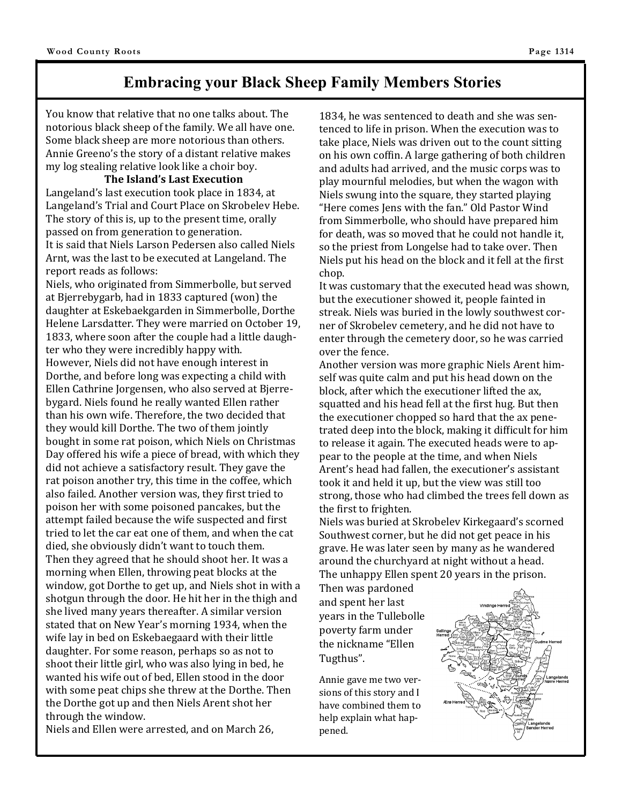### **Embracing your Black Sheep Family Members Stories**

You know that relative that no one talks about. The notorious black sheep of the family. We all have one. Some black sheep are more notorious than others. Annie Greeno's the story of a distant relative makes my log stealing relative look like a choir boy.

#### **The Island's Last Execution**

Langeland's last execution took place in 1834, at Langeland's Trial and Court Place on Skrobelev Hebe. The story of this is, up to the present time, orally passed on from generation to generation. It is said that Niels Larson Pedersen also called Niels Arnt, was the last to be executed at Langeland. The report reads as follows:

Niels, who originated from Simmerbolle, but served at Bjerrebygarb, had in 1833 captured (won) the daughter at Eskebaekgarden in Simmerbolle, Dorthe Helene Larsdatter. They were married on October 19, 1833, where soon after the couple had a little daughter who they were incredibly happy with. However, Niels did not have enough interest in Dorthe, and before long was expecting a child with Ellen Cathrine Jorgensen, who also served at Bjerrebygard. Niels found he really wanted Ellen rather than his own wife. Therefore, the two decided that they would kill Dorthe. The two of them jointly bought in some rat poison, which Niels on Christmas Day offered his wife a piece of bread, with which they did not achieve a satisfactory result. They gave the rat poison another try, this time in the coffee, which also failed. Another version was, they first tried to poison her with some poisoned pancakes, but the attempt failed because the wife suspected and first tried to let the car eat one of them, and when the cat died, she obviously didn't want to touch them. Then they agreed that he should shoot her. It was a morning when Ellen, throwing peat blocks at the window, got Dorthe to get up, and Niels shot in with a shotgun through the door. He hit her in the thigh and she lived many years thereafter. A similar version stated that on New Year's morning 1934, when the wife lay in bed on Eskebaegaard with their little daughter. For some reason, perhaps so as not to shoot their little girl, who was also lying in bed, he wanted his wife out of bed, Ellen stood in the door with some peat chips she threw at the Dorthe. Then the Dorthe got up and then Niels Arent shot her through the window.

Niels and Ellen were arrested, and on March 26,

1834, he was sentenced to death and she was sentenced to life in prison. When the execution was to take place, Niels was driven out to the count sitting on his own coffin. A large gathering of both children and adults had arrived, and the music corps was to play mournful melodies, but when the wagon with Niels swung into the square, they started playing "Here comes Jens with the fan." Old Pastor Wind from Simmerbolle, who should have prepared him for death, was so moved that he could not handle it, so the priest from Longelse had to take over. Then Niels put his head on the block and it fell at the first chop.

It was customary that the executed head was shown, but the executioner showed it, people fainted in streak. Niels was buried in the lowly southwest corner of Skrobelev cemetery, and he did not have to enter through the cemetery door, so he was carried over the fence.

Another version was more graphic Niels Arent himself was quite calm and put his head down on the block, after which the executioner lifted the ax, squatted and his head fell at the first hug. But then the executioner chopped so hard that the ax penetrated deep into the block, making it difficult for him to release it again. The executed heads were to appear to the people at the time, and when Niels Arent's head had fallen, the executioner's assistant took it and held it up, but the view was still too strong, those who had climbed the trees fell down as the first to frighten.

Niels was buried at Skrobelev Kirkegaard's scorned Southwest corner, but he did not get peace in his grave. He was later seen by many as he wandered around the churchyard at night without a head. The unhappy Ellen spent 20 years in the prison.

Then was pardoned and spent her last years in the Tullebolle poverty farm under the nickname "Ellen Tugthus".

Annie gave me two versions of this story and I have combined them to help explain what happened.

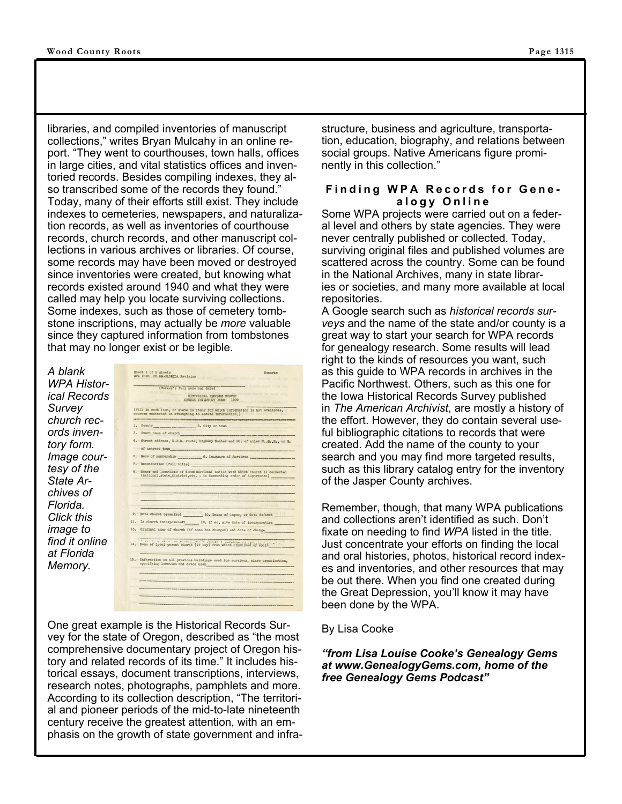libraries, and compiled inventories of manuscript collections," writes Bryan Mulcahy in an online report. "They went to courthouses, town halls, offices in large cities, and vital statistics offices and inventoried records. Besides compiling indexes, they also transcribed some of the records they found." Today, many of their efforts still exist. They include indexes to cemeteries, newspapers, and naturalization records, as well as inventories of courthouse records, church records, and other manuscript collections in various archives or libraries. Of course, some records may have been moved or destroyed since inventories were created, but knowing what records existed around 1940 and what they were called may help you locate surviving collections. Some indexes, such as those of cemetery tombstone inscriptions, may actually be *more* valuable since they captured information from tombstones that may no longer exist or be legible.

| A blank        |
|----------------|
| WPA Histor-    |
| ical Records   |
| Survey         |
| church rec-    |
| ords inven-    |
| tory form.     |
| Image cour-    |
| tesy of the    |
| State Ar-      |
| chives of      |
| Florida.       |
| Click this     |
| image to       |
| find it online |
| at Florida     |
| Memory.        |
|                |

| WPA Form 20 HR-FLORIDA Revision                         |                               | Jash na sted (b) 01                                                                                                                            |
|---------------------------------------------------------|-------------------------------|------------------------------------------------------------------------------------------------------------------------------------------------|
|                                                         |                               | (c) Drive consultated became                                                                                                                   |
| Kldd 31 (ol                                             | (Worker's full name and date) |                                                                                                                                                |
|                                                         | HISYORICAL RECORDS SURVEY     | Tris. Nicholtz / John Pels                                                                                                                     |
|                                                         | CHURCH DWENTORY FORM: 1939    |                                                                                                                                                |
|                                                         |                               |                                                                                                                                                |
| sources contacted in attempting to secure information.) |                               | (Fill in each item, or state in items for which information is not available,                                                                  |
| ı.                                                      |                               | UK TÉLEVEZ BATALOTAK DI DIGITALKETAK DIGITALKETAK ADALAH TERRITORIA DIGITALKETAK YANG MANGALAM MANGALAM ANG MANGALAM<br>County 2. City or town |
| 3.                                                      |                               | Exact name of church the control of the control of the control of the control of the control of the control of                                 |
|                                                         |                               | 4. Street address, R.F.D. route, Highway Number and No. of miles N., S., E., or W.                                                             |
|                                                         |                               |                                                                                                                                                |
|                                                         |                               | of nearest town                                                                                                                                |
| 5.                                                      |                               | Race of membership 6. Language of Services                                                                                                     |
| 7.                                                      |                               | Denomination (full title)                                                                                                                      |
| 8.                                                      |                               | Names and locations of denominational bodies with which church is connected                                                                    |
|                                                         |                               | (national, state, district, etc. - in descending order of importance)                                                                          |
|                                                         |                               |                                                                                                                                                |
|                                                         |                               |                                                                                                                                                |
|                                                         |                               |                                                                                                                                                |
|                                                         |                               |                                                                                                                                                |
| 9.                                                      |                               | Date church organized 10. Dates of lapse, or date defunct                                                                                      |
|                                                         |                               |                                                                                                                                                |
| 11.                                                     |                               | Is church incorporated? 12. If so, give date of incorporation                                                                                  |
| 13.                                                     |                               | Original name of church (if name has changed) and date of change                                                                               |
|                                                         |                               |                                                                                                                                                |
|                                                         |                               |                                                                                                                                                |
|                                                         |                               |                                                                                                                                                |
|                                                         |                               | 14. Name of local parent church (if any) from which organized or split                                                                         |
|                                                         |                               |                                                                                                                                                |
|                                                         |                               | 15. Information on all previous buildings used for services, since organization,<br>specifying location and dates used                         |
|                                                         |                               |                                                                                                                                                |
|                                                         |                               |                                                                                                                                                |
|                                                         |                               | publication to art has send to continue                                                                                                        |
|                                                         |                               |                                                                                                                                                |
|                                                         |                               |                                                                                                                                                |

One great example is the Historical Records Survey for the state of Oregon, described as "the most comprehensive documentary project of Oregon history and related records of its time." It includes historical essays, document transcriptions, interviews, research notes, photographs, pamphlets and more. According to its collection description, "The territorial and pioneer periods of the mid-to-late nineteenth century receive the greatest attention, with an emphasis on the growth of state government and infrastructure, business and agriculture, transportation, education, biography, and relations between social groups. Native Americans figure prominently in this collection."

#### **Finding WPA Records for Genealogy Online**

Some WPA projects were carried out on a federal level and others by state agencies. They were never centrally published or collected. Today, surviving original files and published volumes are scattered across the country. Some can be found in the National Archives, many in state libraries or societies, and many more available at local repositories.

A Google search such as *historical records surveys* and the name of the state and/or county is a great way to start your search for WPA records for genealogy research. Some results will lead right to the kinds of resources you want, such as this guide to WPA records in archives in the Pacific Northwest. Others, such as this one for the Iowa Historical Records Survey published in *The American Archivist*, are mostly a history of the effort. However, they do contain several useful bibliographic citations to records that were created. Add the name of the county to your search and you may find more targeted results, such as this library catalog entry for the inventory of the Jasper County archives.

Remember, though, that many WPA publications and collections aren't identified as such. Don't fixate on needing to find *WPA* listed in the title. Just concentrate your efforts on finding the local and oral histories, photos, historical record indexes and inventories, and other resources that may be out there. When you find one created during the Great Depression, you'll know it may have been done by the WPA.

#### By Lisa Cooke

#### *"from Lisa Louise Cooke's Genealogy Gems at www.GenealogyGems.com, home of the free Genealogy Gems Podcast"*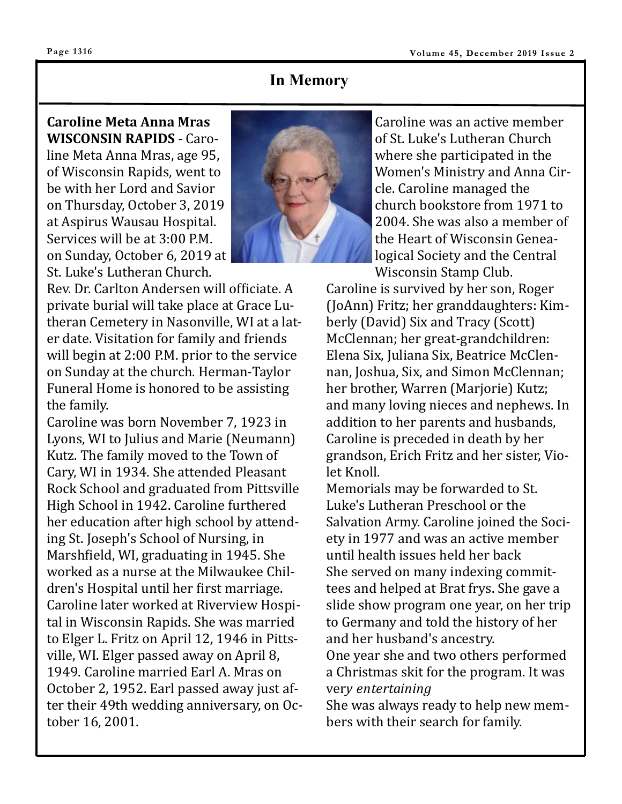### **In Memory**

**Caroline Meta Anna Mras WISCONSIN RAPIDS** - Caroline Meta Anna Mras, age 95, of Wisconsin Rapids, went to be with her Lord and Savior on Thursday, October 3, 2019 at Aspirus Wausau Hospital. Services will be at 3:00 P.M. on Sunday, October 6, 2019 at St. Luke's Lutheran Church.

Rev. Dr. Carlton Andersen will officiate. A private burial will take place at Grace Lutheran Cemetery in Nasonville, WI at a later date. Visitation for family and friends will begin at 2:00 P.M. prior to the service on Sunday at the church. Herman-Taylor Funeral Home is honored to be assisting the family.

Caroline was born November 7, 1923 in Lyons, WI to Julius and Marie (Neumann) Kutz. The family moved to the Town of Cary, WI in 1934. She attended Pleasant Rock School and graduated from Pittsville High School in 1942. Caroline furthered her education after high school by attending St. Joseph's School of Nursing, in Marshfield, WI, graduating in 1945. She worked as a nurse at the Milwaukee Children's Hospital until her first marriage. Caroline later worked at Riverview Hospital in Wisconsin Rapids. She was married to Elger L. Fritz on April 12, 1946 in Pittsville, WI. Elger passed away on April 8, 1949. Caroline married Earl A. Mras on October 2, 1952. Earl passed away just after their 49th wedding anniversary, on October 16, 2001.



Caroline was an active member of St. Luke's Lutheran Church where she participated in the Women's Ministry and Anna Circle. Caroline managed the church bookstore from 1971 to 2004. She was also a member of the Heart of Wisconsin Genealogical Society and the Central Wisconsin Stamp Club.

Caroline is survived by her son, Roger (JoAnn) Fritz; her granddaughters: Kimberly (David) Six and Tracy (Scott) McClennan; her great-grandchildren: Elena Six, Juliana Six, Beatrice McClennan, Joshua, Six, and Simon McClennan; her brother, Warren (Marjorie) Kutz; and many loving nieces and nephews. In addition to her parents and husbands, Caroline is preceded in death by her grandson, Erich Fritz and her sister, Violet Knoll.

Memorials may be forwarded to St. Luke's Lutheran Preschool or the Salvation Army. Caroline joined the Society in 1977 and was an active member until health issues held her back She served on many indexing committees and helped at Brat frys. She gave a slide show program one year, on her trip to Germany and told the history of her and her husband's ancestry.

One year she and two others performed a Christmas skit for the program. It was ver*y entertaining*

She was always ready to help new members with their search for family.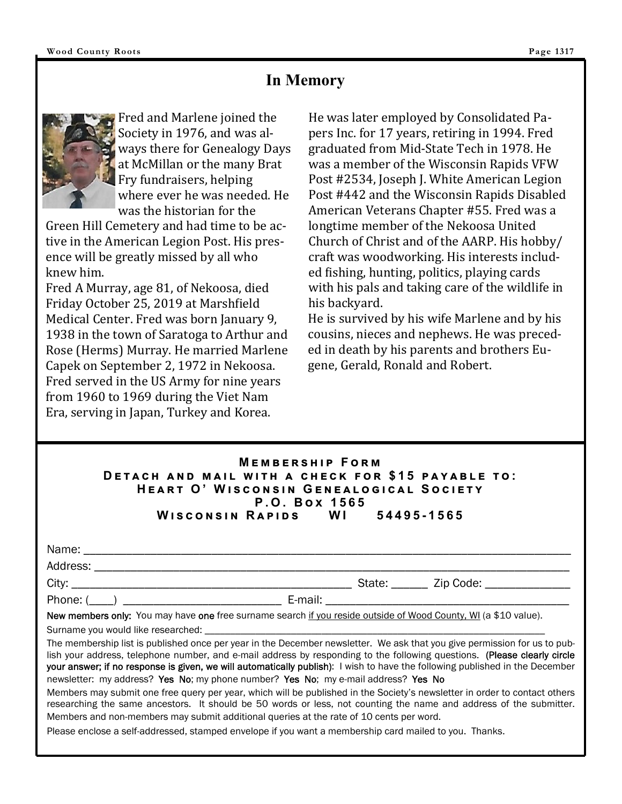### **In Memory**



Fred and Marlene joined the Society in 1976, and was always there for Genealogy Days at McMillan or the many Brat Fry fundraisers, helping where ever he was needed. He was the historian for the

Green Hill Cemetery and had time to be active in the American Legion Post. His presence will be greatly missed by all who knew him.

Fred A Murray, age 81, of Nekoosa, died Friday October 25, 2019 at Marshfield Medical Center. Fred was born January 9, 1938 in the town of Saratoga to Arthur and Rose (Herms) Murray. He married Marlene Capek on September 2, 1972 in Nekoosa. Fred served in the US Army for nine years from 1960 to 1969 during the Viet Nam Era, serving in Japan, Turkey and Korea.

He was later employed by Consolidated Papers Inc. for 17 years, retiring in 1994. Fred graduated from Mid-State Tech in 1978. He was a member of the Wisconsin Rapids VFW Post #2534, Joseph J. White American Legion Post #442 and the Wisconsin Rapids Disabled American Veterans Chapter #55. Fred was a longtime member of the Nekoosa United Church of Christ and of the AARP. His hobby/ craft was woodworking. His interests included fishing, hunting, politics, playing cards with his pals and taking care of the wildlife in his backyard.

He is survived by his wife Marlene and by his cousins, nieces and nephews. He was preceded in death by his parents and brothers Eugene, Gerald, Ronald and Robert.

#### **MEMBERSHIP FORM DETACH AND MAIL WITH A CHECK FOR \$15 PAYABLE TO:**  $HEART$  O' WISCONSIN GENEALOGICAL SOCIETY  $P. O. Box 1565$ **W එඛඋඖඛඑඖ R ඉඑඌඛ WI 54495-1565**

| Name<br>. |  |
|-----------|--|
|           |  |

Address:

Phone: (\_\_\_\_) \_\_\_\_\_\_\_\_\_\_\_\_\_\_\_\_\_\_\_\_\_\_\_\_\_\_ E-mail: \_\_\_\_\_\_\_\_\_\_\_\_\_\_\_\_\_\_\_\_\_\_\_\_\_\_\_\_\_\_\_\_\_\_\_\_\_\_\_\_

City: \_\_\_\_\_\_\_\_\_\_\_\_\_\_\_\_\_\_\_\_\_\_\_\_\_\_\_\_\_\_\_\_\_\_\_\_\_\_\_\_\_\_\_\_\_\_ State: \_\_\_\_\_\_ Zip Code: \_\_\_\_\_\_\_\_\_\_\_\_\_\_

New members only: You may have one free surname search if you reside outside of Wood County, WI (a \$10 value).

Surname you would like researched:

The membership list is published once per year in the December newsletter. We ask that you give permission for us to publish your address, telephone number, and e-mail address by responding to the following questions. (Please clearly circle your answer; if no response is given, we will automatically publish): I wish to have the following published in the December newsletter: my address? Yes No; my phone number? Yes No; my e-mail address? Yes No

Members may submit one free query per year, which will be published in the Society's newsletter in order to contact others researching the same ancestors. It should be 50 words or less, not counting the name and address of the submitter. Members and non-members may submit additional queries at the rate of 10 cents per word.

Please enclose a self-addressed, stamped envelope if you want a membership card mailed to you. Thanks.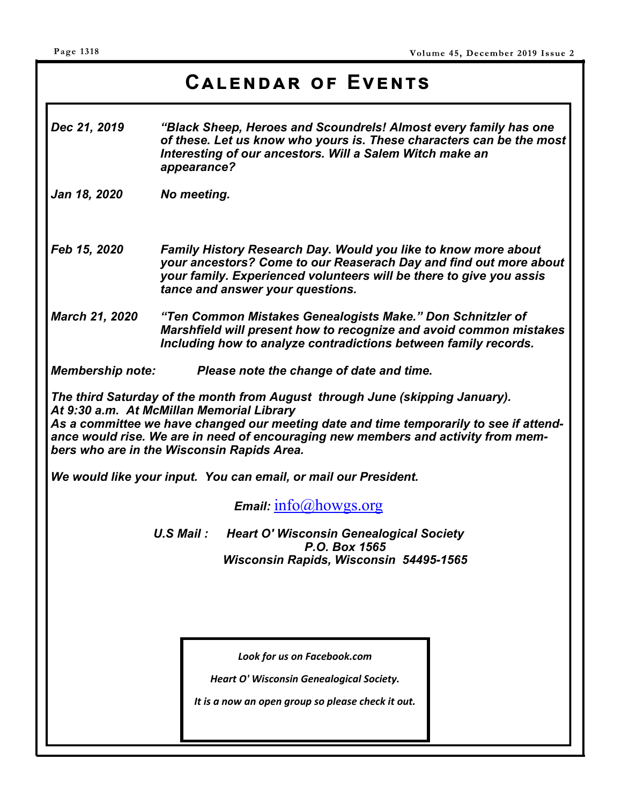# CALENDAR OF EVENTS

- *Dec 21, 2019 "Black Sheep, Heroes and Scoundrels! Almost every family has one of these. Let us know who yours is. These characters can be the most Interesting of our ancestors. Will a Salem Witch make an appearance?*
- *Jan 18, 2020 No meeting.*
- *Feb 15, 2020 Family History Research Day. Would you like to know more about your ancestors? Come to our Reaserach Day and find out more about your family. Experienced volunteers will be there to give you assis tance and answer your questions.*
- *March 21, 2020 "Ten Common Mistakes Genealogists Make." Don Schnitzler of Marshfield will present how to recognize and avoid common mistakes Including how to analyze contradictions between family records.*

*Membership note: Please note the change of date and time.* 

*The third Saturday of the month from August through June (skipping January). At 9:30 a.m. At McMillan Memorial Library As a committee we have changed our meeting date and time temporarily to see if attendance would rise. We are in need of encouraging new members and activity from members who are in the Wisconsin Rapids Area.* 

*We would like your input. You can email, or mail our President.* 

*Email:* info@howgs.org

*U.S Mail : Heart O' Wisconsin Genealogical Society P.O. Box 1565 Wisconsin Rapids, Wisconsin 54495-1565*

*Look for us on Facebook.com* 

*Heart O' Wisconsin Genealogical Society.* 

*It is a now an open group so please check it out.*